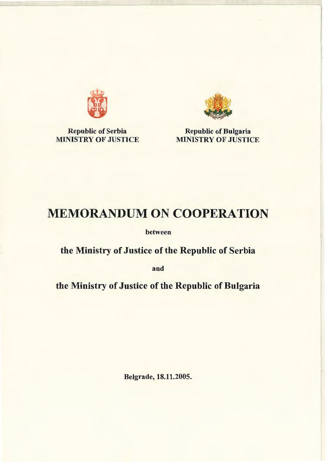

Republic of Serbia MINISTRY OF JUSTICE



Republic of Bulgaria MINISTRY OF JUSTICE

# MEMORANDUM ON COOPERATION

between

the Ministry of Justice of the Republic of Serbia

and

the Ministry of Justice of the Republic of Bulgaria

Belgrade, 18.11.2005.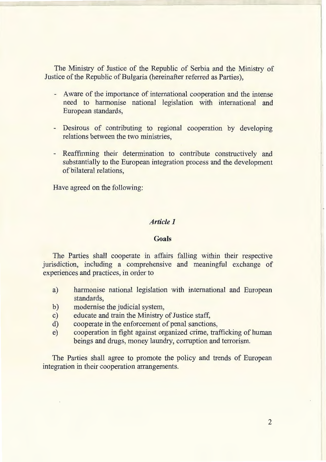The Ministry of Justice of the Republic of Serbia and the Ministry of Justice of the Republic of Bulgaria (hereinafter refened as Parties),

- Aware of the importance of international cooperation and the intense need to harmonise national legislation with international and European standards,
- Desirous of contributing to regional cooperation by developing relations between the two ministries,
- Reaffirming their determination to contribute constructively and substantially to the European integration process and the development of bilateral relations,

Have agreed on the following:

## *Article 1*

#### **Goals**

The Parties shall cooperate in affairs falling within their respective jurisdiction, including a comprehensive and meaningful exchange of experiences and practices, in order to

- a) harmonise national legislation with international and European standards,
- b) modernise the judicial system,
- c) educate and train the Ministry of Justice staff,
- d) cooperate in the enforcement of penal sanctions,
- e) cooperation in fight against organized crime, trafficking of human beings and drugs, money laundry, corruption and terrorism.

The Parties shall agree to promote the policy and trends of European integration in their cooperation arrangements.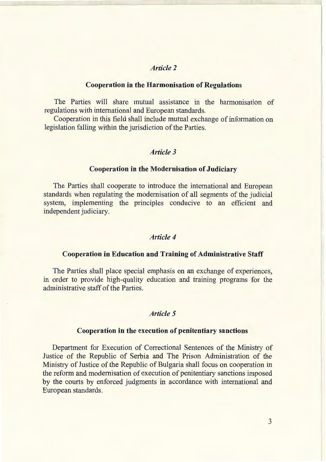## *Article 2*

## **Cooperation in the Harmonisation of Regulations**

The Parties will share mutual assistance in the harmonisation of regulations with international and European standards.

Cooperation in this field shall include mutual exchange of information on legislation falling within the jurisdiction of the Parties.

## *Article 3*

## **Cooperation in the Modernisation of Judiciary**

The Parties shall cooperate to introduce the international and European standards when regulating the modernisation of all segments of the judicial system, implementing the principles conducive to an efficient and independent judiciary.

#### *Article 4*

## **Cooperation in Education and Training of Administrative Staff**

The Parties shall place special emphasis on an exchange of experiences, in order to provide high-quality education and training programs for the administrative staff of the Parties.

## *Article* 5

#### **Cooperation in the execution of penitentiary sanctions**

Department for Execution of Correctional Sentences of the Ministry of Justice of the Republic of Serbia and The Prison Administration of the Ministry of Justice of the Republic of Bulgaria shall focus on cooperation in the reform and modernisation of execution of penitentiary sanctions imposed by the courts by enforced judgments in accordance with international and European standards.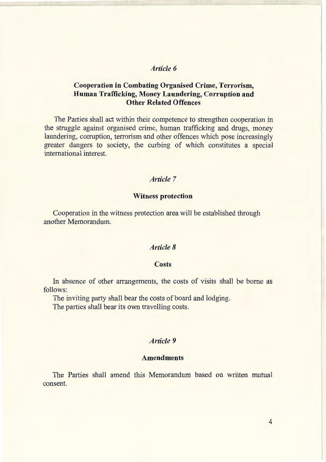## *Article 6*

# Cooperation in Combating Organised Crime, Terrorism, . Human Trafficking, Money Laundering, Corruption and Other Related Offences

The Parties shall act within their competence to strengthen cooperation in the struggle against organised crime, human trafficking and drugs, money laundering, corruption, terrorism and other offences which pose increasingly greater dangers to society, the curbing of which constitutes a special international interest.

## *Article* 7

#### Witness protection

Cooperation in the witness protection area will be established through another Memorandum.

## *Article 8*

#### **Costs**

In absence of other arrangements, the costs of visits shall be borne as follows:

The inviting party shall bear the costs of board and lodging.

The parties shall bear its own travelling costs.

## *Article 9*

## Amendments

The Parties shall amend this Memorandum based on written mutual consent.